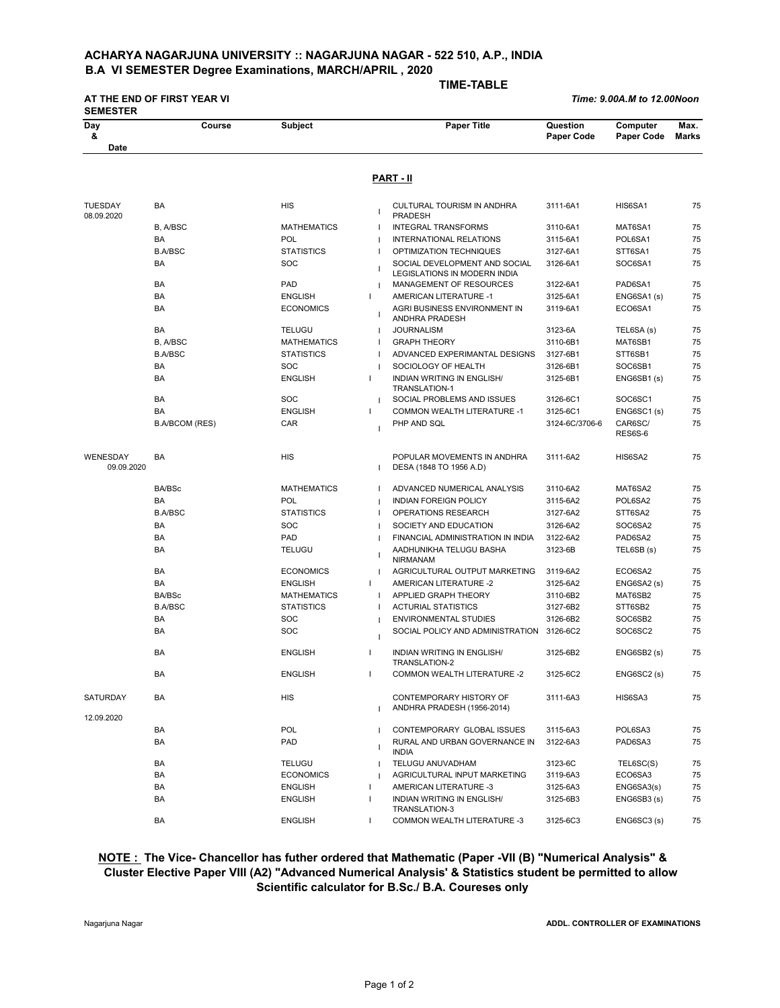## **ACHARYA NAGARJUNA UNIVERSITY :: NAGARJUNA NAGAR - 522 510, A.P., INDIA B.A VI SEMESTER Degree Examinations, MARCH/APRIL , 2020**

**AT THE END OF FIRST YEAR VI** 

 **TIME-TABLE** 

 *Time: 9.00A.M to 12.00Noon*

| Day                          | Course                | <b>Subject</b>     |              | <b>Paper Title</b>                                                   | Question          | Computer           | Max.         |
|------------------------------|-----------------------|--------------------|--------------|----------------------------------------------------------------------|-------------------|--------------------|--------------|
| &<br>Date                    |                       |                    |              |                                                                      | <b>Paper Code</b> | Paper Code         | <b>Marks</b> |
|                              |                       |                    |              |                                                                      |                   |                    |              |
|                              |                       |                    |              | <b>PART - II</b>                                                     |                   |                    |              |
| <b>TUESDAY</b><br>08.09.2020 | <b>BA</b>             | <b>HIS</b>         |              | CULTURAL TOURISM IN ANDHRA<br><b>PRADESH</b>                         | 3111-6A1          | HIS6SA1            | 75           |
|                              | B, A/BSC              | <b>MATHEMATICS</b> |              | <b>INTEGRAL TRANSFORMS</b>                                           | 3110-6A1          | MAT6SA1            | 75           |
|                              | BA                    | POL                |              | INTERNATIONAL RELATIONS                                              | 3115-6A1          | POL6SA1            | 75           |
|                              | <b>B.A/BSC</b>        | <b>STATISTICS</b>  |              | OPTIMIZATION TECHNIQUES                                              | 3127-6A1          | STT6SA1            | 75           |
|                              | <b>BA</b>             | <b>SOC</b>         |              | SOCIAL DEVELOPMENT AND SOCIAL<br><b>LEGISLATIONS IN MODERN INDIA</b> | 3126-6A1          | SOC6SA1            | 75           |
|                              | BA                    | PAD                |              | MANAGEMENT OF RESOURCES                                              | 3122-6A1          | PAD6SA1            | 75           |
|                              | BA                    | <b>ENGLISH</b>     | $\mathbf{I}$ | AMERICAN LITERATURE -1                                               | 3125-6A1          | ENG6SA1(s)         | 75           |
|                              | BA                    | <b>ECONOMICS</b>   |              | AGRI BUSINESS ENVIRONMENT IN<br>ANDHRA PRADESH                       | 3119-6A1          | ECO6SA1            | 75           |
|                              | <b>BA</b>             | <b>TELUGU</b>      |              | <b>JOURNALISM</b>                                                    | 3123-6A           | TEL6SA (s)         | 75           |
|                              | B, A/BSC              | <b>MATHEMATICS</b> |              | <b>GRAPH THEORY</b>                                                  | 3110-6B1          | MAT6SB1            | 75           |
|                              | <b>B.A/BSC</b>        | <b>STATISTICS</b>  |              | ADVANCED EXPERIMANTAL DESIGNS                                        | 3127-6B1          | STT6SB1            | 75           |
|                              | BA                    | <b>SOC</b>         |              | SOCIOLOGY OF HEALTH                                                  | 3126-6B1          | SOC6SB1            | 75           |
|                              | <b>BA</b>             | <b>ENGLISH</b>     | п            | <b>INDIAN WRITING IN ENGLISH/</b><br><b>TRANSLATION-1</b>            | 3125-6B1          | ENG6SB1(s)         | 75           |
|                              | BA                    | <b>SOC</b>         | J.           | SOCIAL PROBLEMS AND ISSUES                                           | 3126-6C1          | SOC6SC1            | 75           |
|                              | BA                    | <b>ENGLISH</b>     | $\mathbf{I}$ | <b>COMMON WEALTH LITERATURE -1</b>                                   | 3125-6C1          | ENG6SC1 (s)        | 75           |
|                              | <b>B.A/BCOM (RES)</b> | <b>CAR</b>         |              | PHP AND SQL                                                          | 3124-6C/3706-6    | CAR6SC/<br>RES6S-6 | 75           |
| WENESDAY<br>09.09.2020       | BA                    | <b>HIS</b>         |              | POPULAR MOVEMENTS IN ANDHRA<br>DESA (1848 TO 1956 A.D)               | 3111-6A2          | HIS6SA2            | 75           |
|                              | <b>BA/BSc</b>         | <b>MATHEMATICS</b> |              | ADVANCED NUMERICAL ANALYSIS                                          | 3110-6A2          | MAT6SA2            | 75           |
|                              | BA                    | POL                |              | <b>INDIAN FOREIGN POLICY</b>                                         | 3115-6A2          | POL6SA2            | 75           |
|                              | <b>B.A/BSC</b>        | <b>STATISTICS</b>  |              | <b>OPERATIONS RESEARCH</b>                                           | 3127-6A2          | STT6SA2            | 75           |
|                              | BA                    | SOC                |              | SOCIETY AND EDUCATION                                                | 3126-6A2          | SOC6SA2            | 75           |
|                              | BA                    | PAD                |              | FINANCIAL ADMINISTRATION IN INDIA                                    | 3122-6A2          | PAD6SA2            | 75           |
|                              | <b>BA</b>             | <b>TELUGU</b>      |              | AADHUNIKHA TELUGU BASHA<br><b>NIRMANAM</b>                           | 3123-6B           | TEL6SB (s)         | 75           |
|                              | BA                    | <b>ECONOMICS</b>   | $\mathbf{I}$ | AGRICULTURAL OUTPUT MARKETING                                        | 3119-6A2          | ECO6SA2            | 75           |
|                              | BA                    | <b>ENGLISH</b>     | $\mathbf{I}$ | AMERICAN LITERATURE -2                                               | 3125-6A2          | ENG6SA2 (s)        | 75           |
|                              | BA/BSc                | <b>MATHEMATICS</b> |              | APPLIED GRAPH THEORY                                                 | 3110-6B2          | MAT6SB2            | 75           |
|                              | <b>B.A/BSC</b>        | <b>STATISTICS</b>  |              | <b>ACTURIAL STATISTICS</b>                                           | 3127-6B2          | STT6SB2            | 75           |
|                              | BA                    | SOC                |              | <b>ENVIRONMENTAL STUDIES</b>                                         | 3126-6B2          | SOC6SB2            | 75           |
|                              | BA                    | <b>SOC</b>         |              | SOCIAL POLICY AND ADMINISTRATION                                     | 3126-6C2          | SOC6SC2            | 75           |
|                              | BA                    | <b>ENGLISH</b>     | п            | <b>INDIAN WRITING IN ENGLISH/</b><br>TRANSLATION-2                   | 3125-6B2          | ENG6SB2 (s)        | 75           |
|                              | <b>BA</b>             | <b>ENGLISH</b>     | п            | <b>COMMON WEALTH LITERATURE -2</b>                                   | 3125-6C2          | ENG6SC2 (s)        | 75           |
| SATURDAY                     | BA                    | <b>HIS</b>         |              | CONTEMPORARY HISTORY OF<br>ANDHRA PRADESH (1956-2014)                | 3111-6A3          | HIS6SA3            | 75           |
| 12.09.2020                   |                       |                    |              |                                                                      |                   |                    |              |
|                              | BA                    | POL                |              | CONTEMPORARY GLOBAL ISSUES                                           | 3115-6A3          | POL6SA3            | 75           |
|                              | BA                    | PAD                |              | RURAL AND URBAN GOVERNANCE IN<br><b>INDIA</b>                        | 3122-6A3          | PAD6SA3            | 75           |
|                              | BA                    | <b>TELUGU</b>      |              | TELUGU ANUVADHAM                                                     | 3123-6C           | TEL6SC(S)          | 75           |
|                              | BA                    | <b>ECONOMICS</b>   |              | AGRICULTURAL INPUT MARKETING                                         | 3119-6A3          | ECO6SA3            | 75           |
|                              | BA                    | <b>ENGLISH</b>     | -1           | AMERICAN LITERATURE -3                                               | 3125-6A3          | ENG6SA3(s)         | 75           |
|                              | BA                    | <b>ENGLISH</b>     | п            | INDIAN WRITING IN ENGLISH/<br>TRANSLATION-3                          | 3125-6B3          | ENG6SB3 (s)        | 75           |
|                              | BA                    | <b>ENGLISH</b>     | $\mathbf{I}$ | <b>COMMON WEALTH LITERATURE -3</b>                                   | 3125-6C3          | ENG6SC3 (s)        | 75           |

## **NOTE : The Vice- Chancellor has futher ordered that Mathematic (Paper -VII (B) "Numerical Analysis" & Cluster Elective Paper VIII (A2) "Advanced Numerical Analysis' & Statistics student be permitted to allow Scientific calculator for B.Sc./ B.A. Coureses only**

Nagarjuna Nagar **ADDL. CONTROLLER OF EXAMINATIONS**